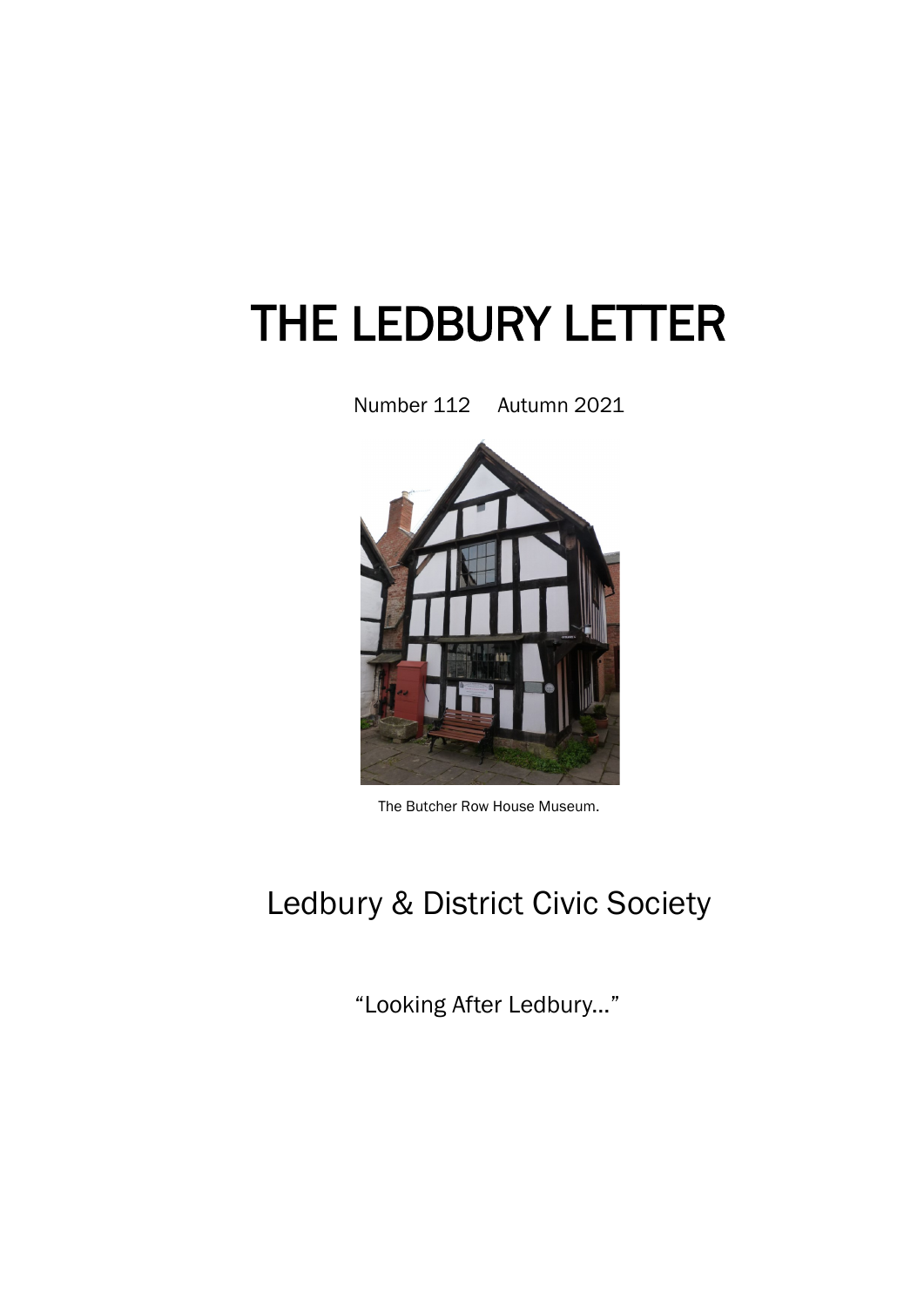# THE LEDBURY LETTER

Number 112 Autumn 2021



The Butcher Row House Museum.

## Ledbury & District Civic Society

"Looking After Ledbury..."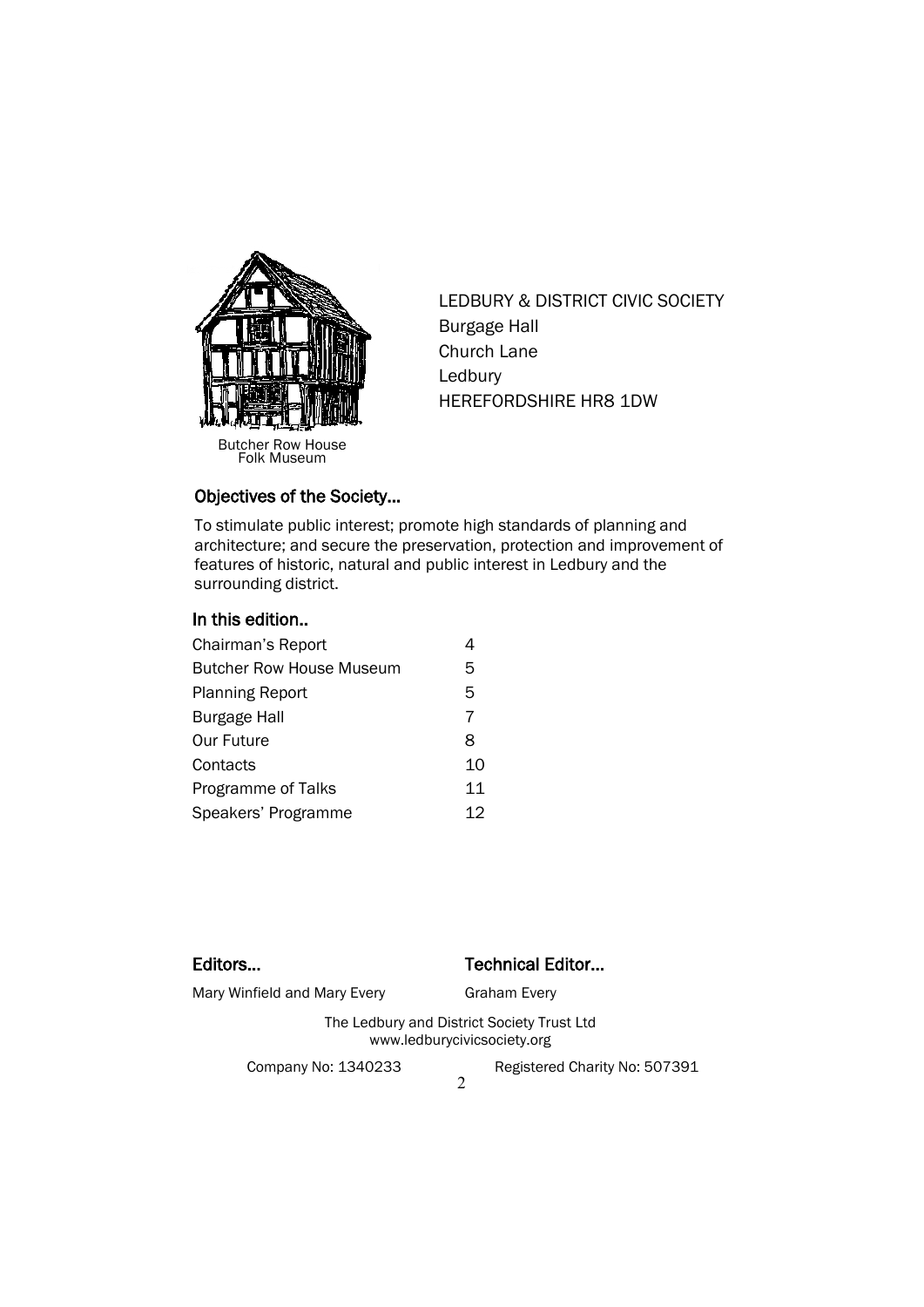

Butcher Row House Folk Museum

LEDBURY & DISTRICT CIVIC SOCIETY Burgage Hall Church Lane Ledbury HEREFORDSHIRE HR8 1DW

### Objectives of the Society…

To stimulate public interest; promote high standards of planning and architecture; and secure the preservation, protection and improvement of features of historic, natural and public interest in Ledbury and the surrounding district.

### In this edition..

| Chairman's Report               |    |
|---------------------------------|----|
| <b>Butcher Row House Museum</b> | 5  |
| <b>Planning Report</b>          | 5  |
| <b>Burgage Hall</b>             | 7  |
| <b>Our Future</b>               | 8  |
| Contacts                        | 10 |
| Programme of Talks              | 11 |
| Speakers' Programme             | 12 |

### Editors... **Editors...** Technical Editor...

Mary Winfield and Mary Every Graham Every

The Ledbury and District Society Trust Ltd www.ledburycivicsociety.org

Company No: 1340233 Registered Charity No: 507391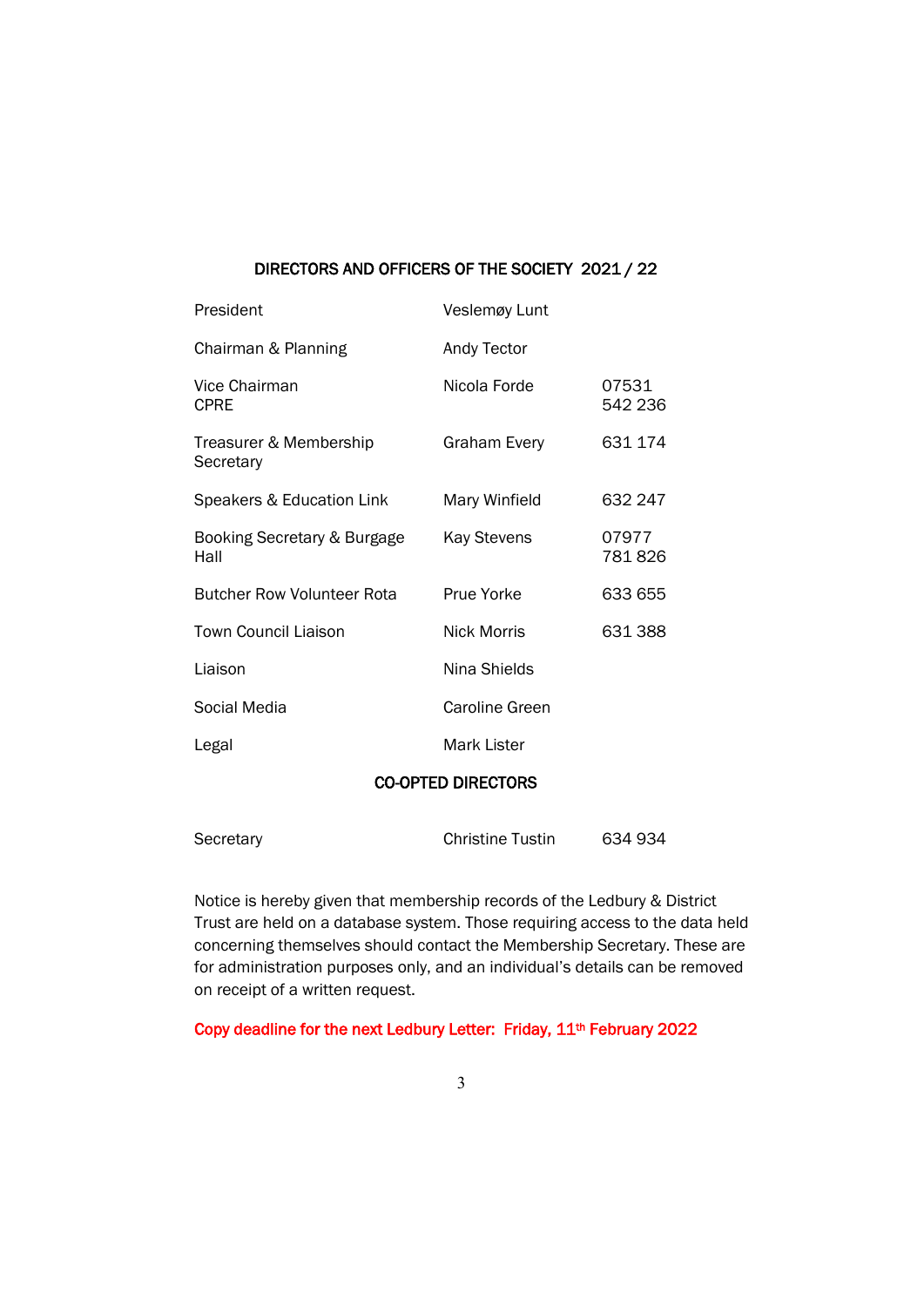### DIRECTORS AND OFFICERS OF THE SOCIETY 2021 / 22

| President                           | Veslemøy Lunt      |                  |
|-------------------------------------|--------------------|------------------|
| Chairman & Planning                 | Andy Tector        |                  |
| Vice Chairman<br><b>CPRE</b>        | Nicola Forde       | 07531<br>542 236 |
| Treasurer & Membership<br>Secretary | Graham Every       | 631 174          |
| Speakers & Education Link           | Mary Winfield      | 632 247          |
| Booking Secretary & Burgage<br>Hall | <b>Kay Stevens</b> | 07977<br>781826  |
| <b>Butcher Row Volunteer Rota</b>   | Prue Yorke         | 633 655          |
| <b>Town Council Liaison</b>         | Nick Morris        | 631388           |
| Liaison                             | Nina Shields       |                  |
| Social Media                        | Caroline Green     |                  |
| Legal                               | Mark Lister        |                  |
|                                     |                    |                  |

### CO-OPTED DIRECTORS

| Secretary | <b>Christine Tustin</b> | 634 934 |
|-----------|-------------------------|---------|
|           |                         |         |

Notice is hereby given that membership records of the Ledbury & District Trust are held on a database system. Those requiring access to the data held concerning themselves should contact the Membership Secretary. These are for administration purposes only, and an individual's details can be removed on receipt of a written request.

Copy deadline for the next Ledbury Letter: Friday, 11<sup>th</sup> February 2022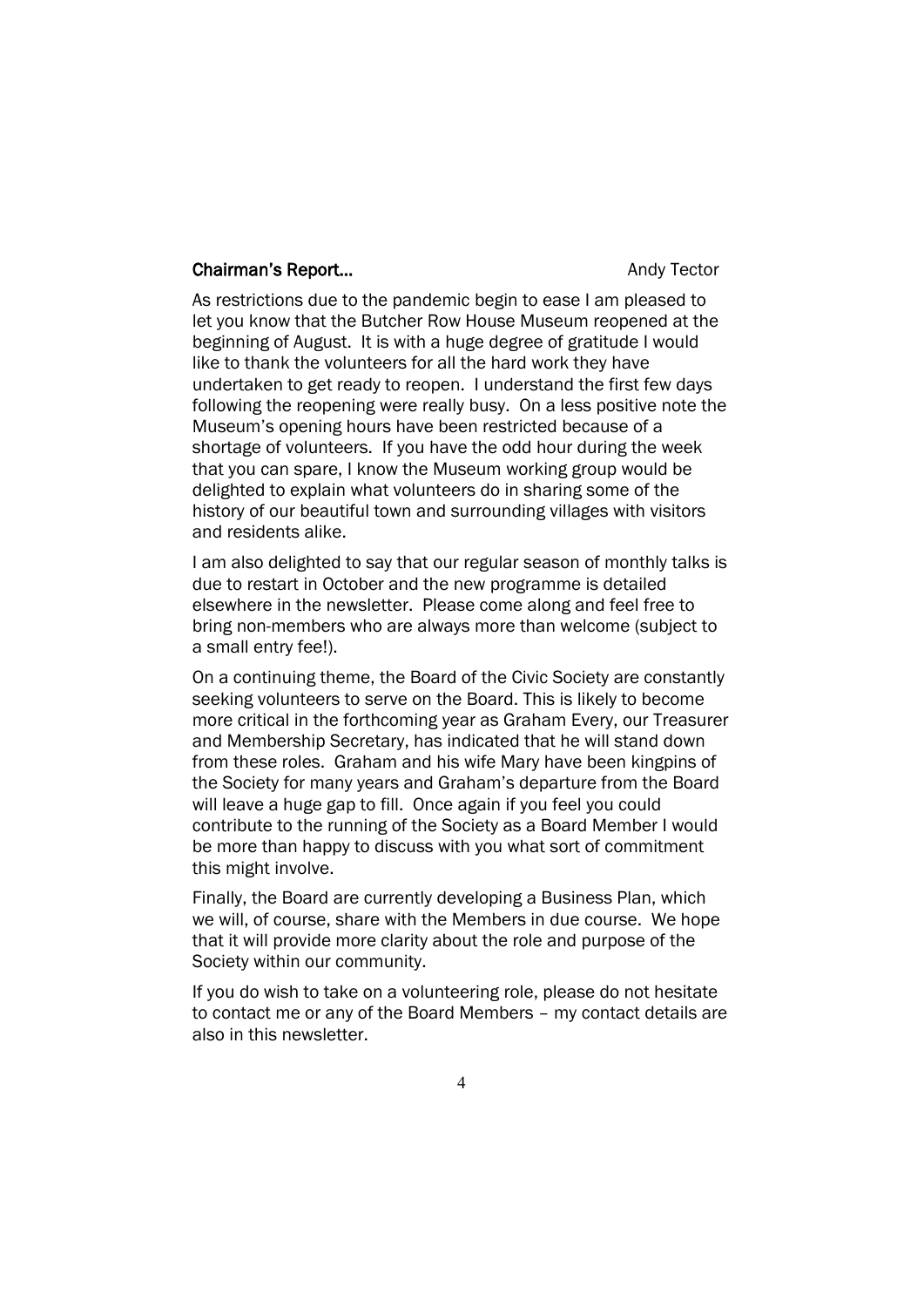### Chairman's Report... **Chairman's Report...** Andy Tector

As restrictions due to the pandemic begin to ease I am pleased to let you know that the Butcher Row House Museum reopened at the beginning of August. It is with a huge degree of gratitude I would like to thank the volunteers for all the hard work they have undertaken to get ready to reopen. I understand the first few days following the reopening were really busy. On a less positive note the Museum's opening hours have been restricted because of a shortage of volunteers. If you have the odd hour during the week that you can spare, I know the Museum working group would be delighted to explain what volunteers do in sharing some of the history of our beautiful town and surrounding villages with visitors and residents alike.

I am also delighted to say that our regular season of monthly talks is due to restart in October and the new programme is detailed elsewhere in the newsletter. Please come along and feel free to bring non-members who are always more than welcome (subject to a small entry fee!).

On a continuing theme, the Board of the Civic Society are constantly seeking volunteers to serve on the Board. This is likely to become more critical in the forthcoming year as Graham Every, our Treasurer and Membership Secretary, has indicated that he will stand down from these roles. Graham and his wife Mary have been kingpins of the Society for many years and Graham's departure from the Board will leave a huge gap to fill. Once again if you feel you could contribute to the running of the Society as a Board Member I would be more than happy to discuss with you what sort of commitment this might involve.

Finally, the Board are currently developing a Business Plan, which we will, of course, share with the Members in due course. We hope that it will provide more clarity about the role and purpose of the Society within our community.

If you do wish to take on a volunteering role, please do not hesitate to contact me or any of the Board Members – my contact details are also in this newsletter.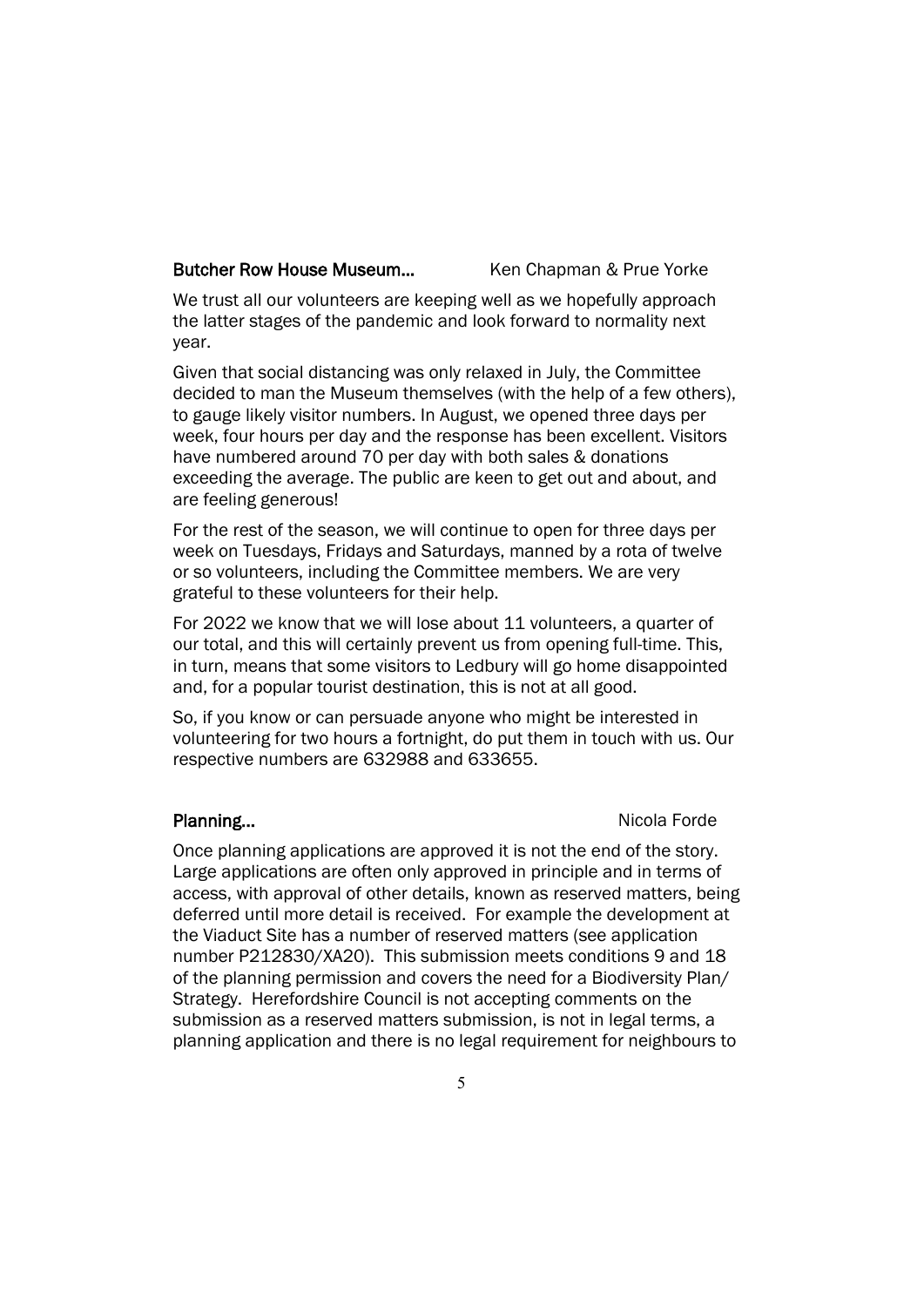### Butcher Row House Museum... Ken Chapman & Prue Yorke

We trust all our volunteers are keeping well as we hopefully approach the latter stages of the pandemic and look forward to normality next year.

Given that social distancing was only relaxed in July, the Committee decided to man the Museum themselves (with the help of a few others), to gauge likely visitor numbers. In August, we opened three days per week, four hours per day and the response has been excellent. Visitors have numbered around 70 per day with both sales & donations exceeding the average. The public are keen to get out and about, and are feeling generous!

For the rest of the season, we will continue to open for three days per week on Tuesdays, Fridays and Saturdays, manned by a rota of twelve or so volunteers, including the Committee members. We are very grateful to these volunteers for their help.

For 2022 we know that we will lose about 11 volunteers, a quarter of our total, and this will certainly prevent us from opening full-time. This, in turn, means that some visitors to Ledbury will go home disappointed and, for a popular tourist destination, this is not at all good.

So, if you know or can persuade anyone who might be interested in volunteering for two hours a fortnight, do put them in touch with us. Our respective numbers are 632988 and 633655.

### Planning... Nicola Forde

Once planning applications are approved it is not the end of the story. Large applications are often only approved in principle and in terms of access, with approval of other details, known as reserved matters, being deferred until more detail is received. For example the development at the Viaduct Site has a number of reserved matters (see application number P212830/XA20). This submission meets conditions 9 and 18 of the planning permission and covers the need for a Biodiversity Plan/ Strategy. Herefordshire Council is not accepting comments on the submission as a reserved matters submission, is not in legal terms, a planning application and there is no legal requirement for neighbours to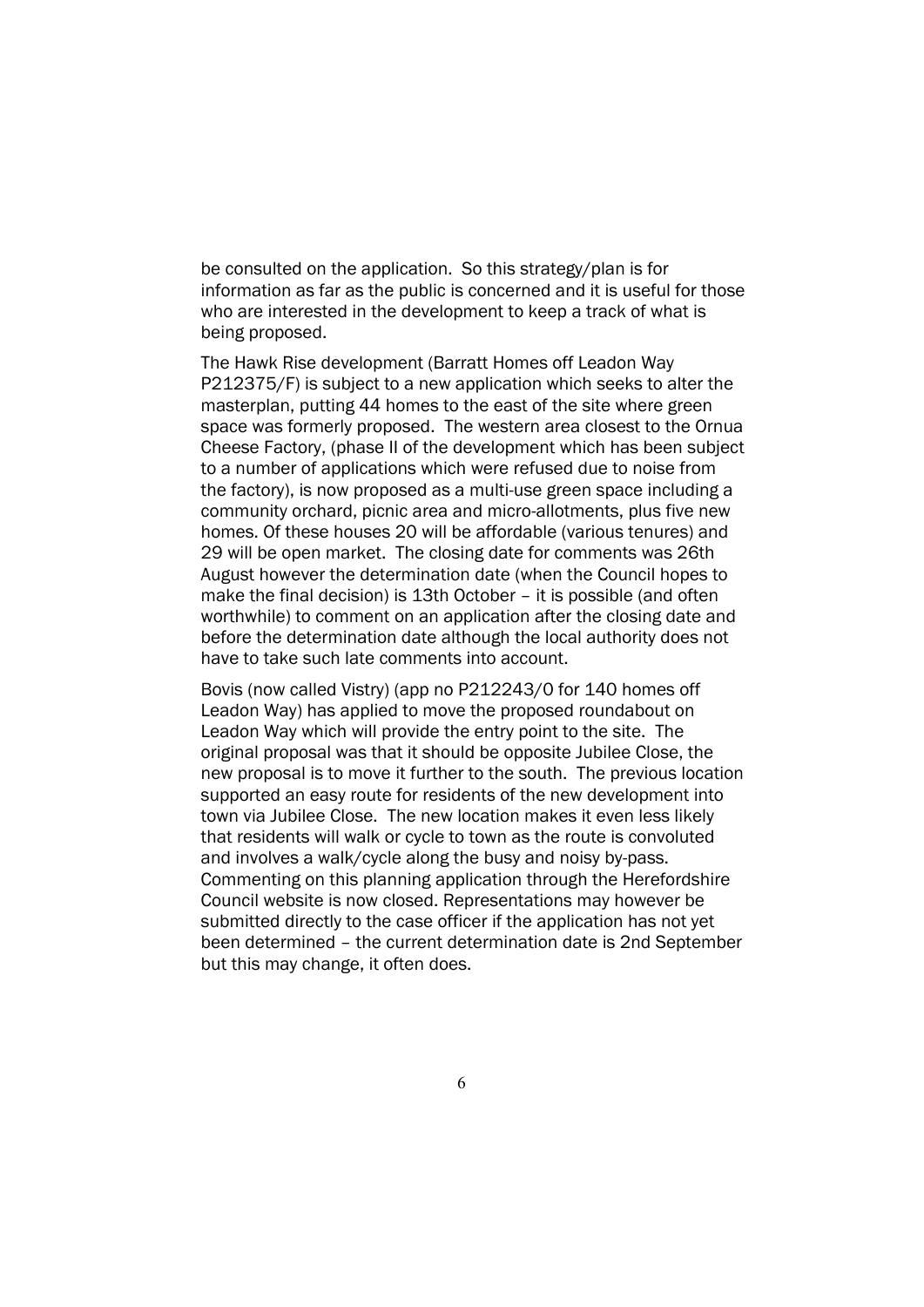be consulted on the application. So this strategy/plan is for information as far as the public is concerned and it is useful for those who are interested in the development to keep a track of what is being proposed.

The Hawk Rise development (Barratt Homes off Leadon Way P212375/F) is subject to a new application which seeks to alter the masterplan, putting 44 homes to the east of the site where green space was formerly proposed. The western area closest to the Ornua Cheese Factory, (phase II of the development which has been subject to a number of applications which were refused due to noise from the factory), is now proposed as a multi-use green space including a community orchard, picnic area and micro-allotments, plus five new homes. Of these houses 20 will be affordable (various tenures) and 29 will be open market. The closing date for comments was 26th August however the determination date (when the Council hopes to make the final decision) is 13th October – it is possible (and often worthwhile) to comment on an application after the closing date and before the determination date although the local authority does not have to take such late comments into account.

Bovis (now called Vistry) (app no P212243/0 for 140 homes off Leadon Way) has applied to move the proposed roundabout on Leadon Way which will provide the entry point to the site. The original proposal was that it should be opposite Jubilee Close, the new proposal is to move it further to the south. The previous location supported an easy route for residents of the new development into town via Jubilee Close. The new location makes it even less likely that residents will walk or cycle to town as the route is convoluted and involves a walk/cycle along the busy and noisy by-pass. Commenting on this planning application through the Herefordshire Council website is now closed. Representations may however be submitted directly to the case officer if the application has not yet been determined – the current determination date is 2nd September but this may change, it often does.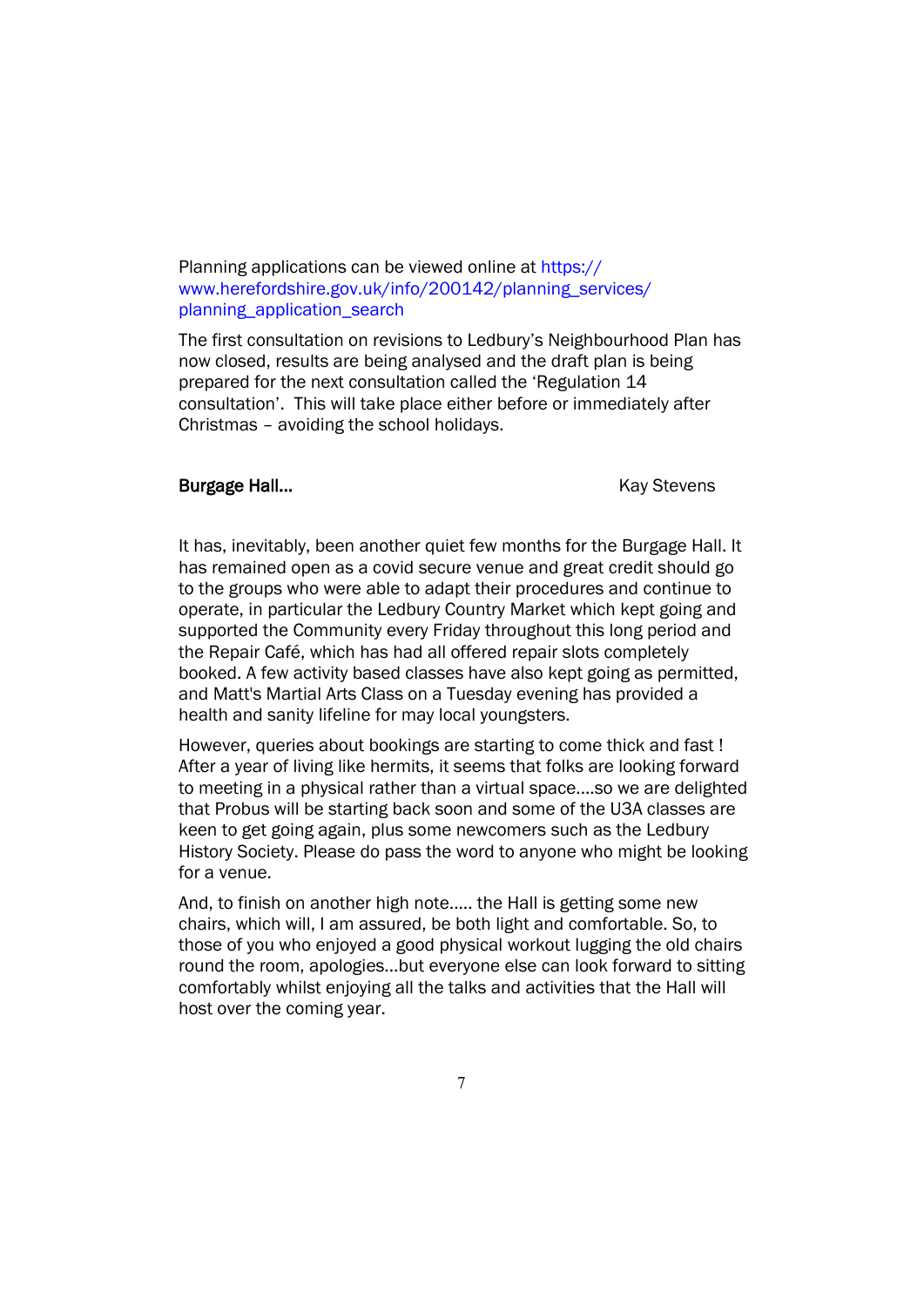### Planning applications can be viewed online at https:// www.herefordshire.gov.uk/info/200142/planning\_services/ planning\_application\_search

The first consultation on revisions to Ledbury's Neighbourhood Plan has now closed, results are being analysed and the draft plan is being prepared for the next consultation called the 'Regulation 14 consultation'. This will take place either before or immediately after Christmas – avoiding the school holidays.

### Burgage Hall... **Burgage Hall Kay Stevens**

It has, inevitably, been another quiet few months for the Burgage Hall. It has remained open as a covid secure venue and great credit should go to the groups who were able to adapt their procedures and continue to operate, in particular the Ledbury Country Market which kept going and supported the Community every Friday throughout this long period and the Repair Café, which has had all offered repair slots completely booked. A few activity based classes have also kept going as permitted, and Matt's Martial Arts Class on a Tuesday evening has provided a health and sanity lifeline for may local youngsters.

However, queries about bookings are starting to come thick and fast ! After a year of living like hermits, it seems that folks are looking forward to meeting in a physical rather than a virtual space....so we are delighted that Probus will be starting back soon and some of the U3A classes are keen to get going again, plus some newcomers such as the Ledbury History Society. Please do pass the word to anyone who might be looking for a venue.

And, to finish on another high note..... the Hall is getting some new chairs, which will, I am assured, be both light and comfortable. So, to those of you who enjoyed a good physical workout lugging the old chairs round the room, apologies...but everyone else can look forward to sitting comfortably whilst enjoying all the talks and activities that the Hall will host over the coming year.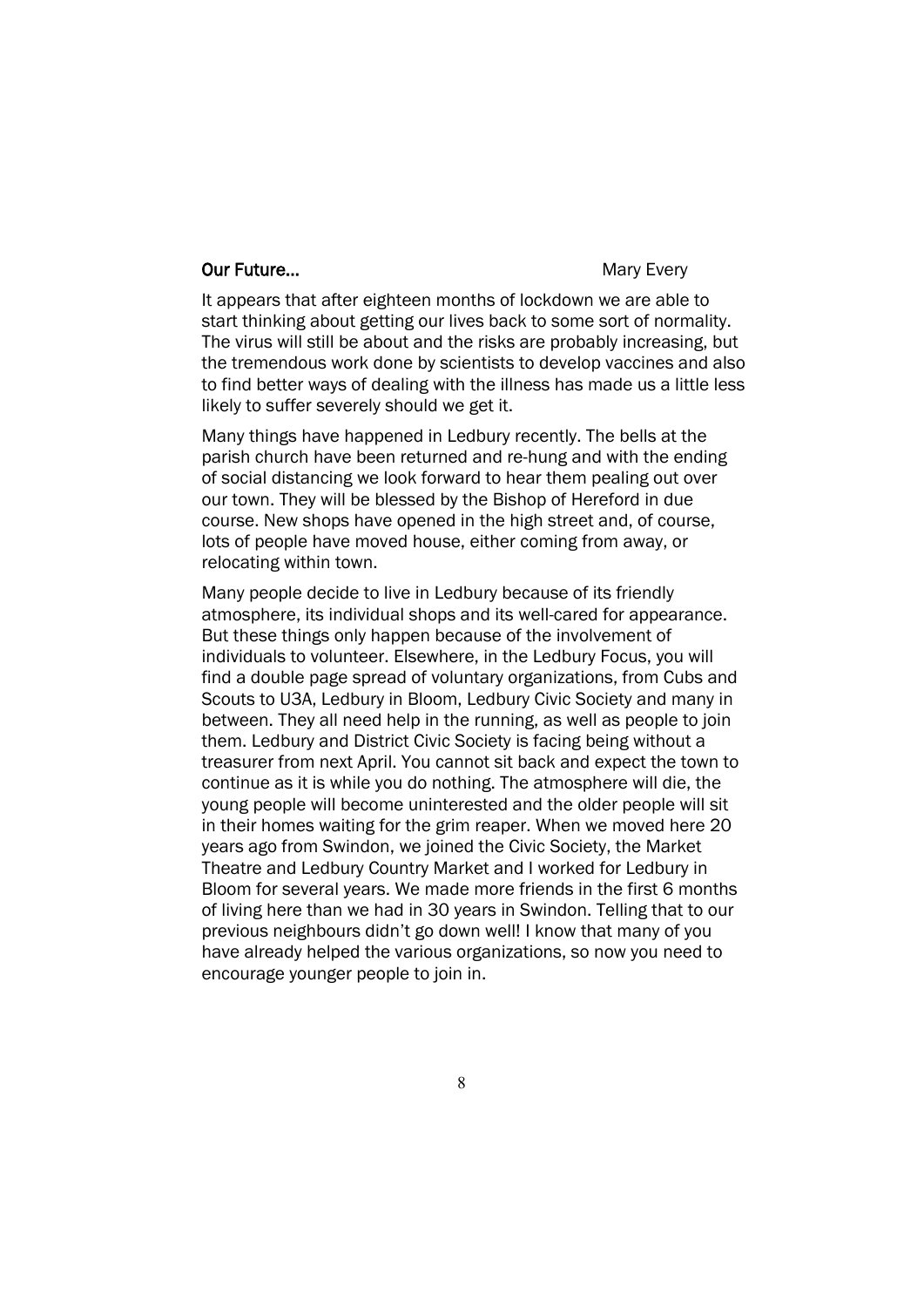### **Our Future... Mary Every** Mary Every

It appears that after eighteen months of lockdown we are able to start thinking about getting our lives back to some sort of normality. The virus will still be about and the risks are probably increasing, but the tremendous work done by scientists to develop vaccines and also to find better ways of dealing with the illness has made us a little less likely to suffer severely should we get it.

Many things have happened in Ledbury recently. The bells at the parish church have been returned and re-hung and with the ending of social distancing we look forward to hear them pealing out over our town. They will be blessed by the Bishop of Hereford in due course. New shops have opened in the high street and, of course, lots of people have moved house, either coming from away, or relocating within town.

Many people decide to live in Ledbury because of its friendly atmosphere, its individual shops and its well-cared for appearance. But these things only happen because of the involvement of individuals to volunteer. Elsewhere, in the Ledbury Focus, you will find a double page spread of voluntary organizations, from Cubs and Scouts to U3A, Ledbury in Bloom, Ledbury Civic Society and many in between. They all need help in the running, as well as people to join them. Ledbury and District Civic Society is facing being without a treasurer from next April. You cannot sit back and expect the town to continue as it is while you do nothing. The atmosphere will die, the young people will become uninterested and the older people will sit in their homes waiting for the grim reaper. When we moved here 20 years ago from Swindon, we joined the Civic Society, the Market Theatre and Ledbury Country Market and I worked for Ledbury in Bloom for several years. We made more friends in the first 6 months of living here than we had in 30 years in Swindon. Telling that to our previous neighbours didn't go down well! I know that many of you have already helped the various organizations, so now you need to encourage younger people to join in.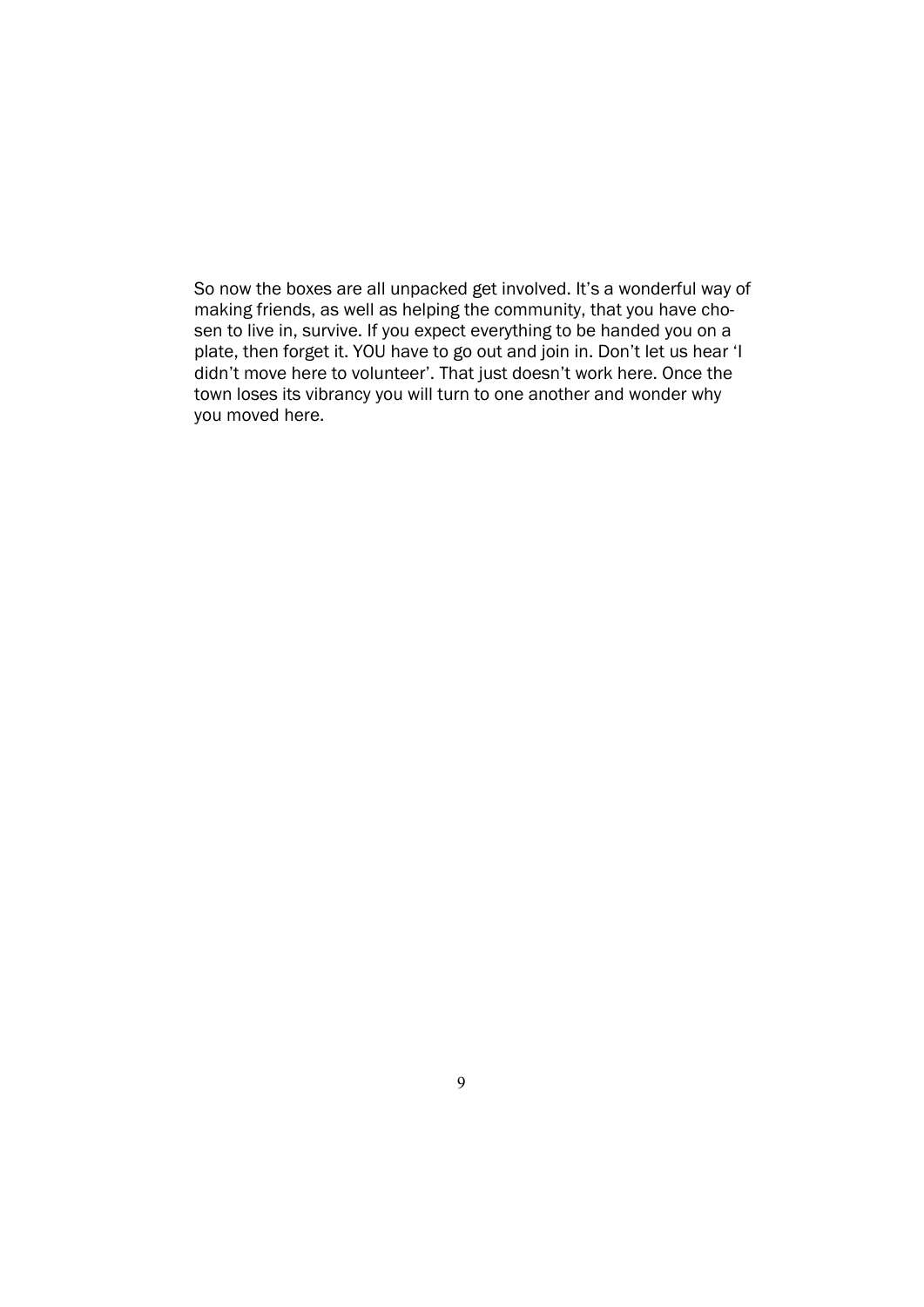So now the boxes are all unpacked get involved. It's a wonderful way of making friends, as well as helping the community, that you have chosen to live in, survive. If you expect everything to be handed you on a plate, then forget it. YOU have to go out and join in. Don't let us hear 'I didn't move here to volunteer'. That just doesn't work here. Once the town loses its vibrancy you will turn to one another and wonder why you moved here.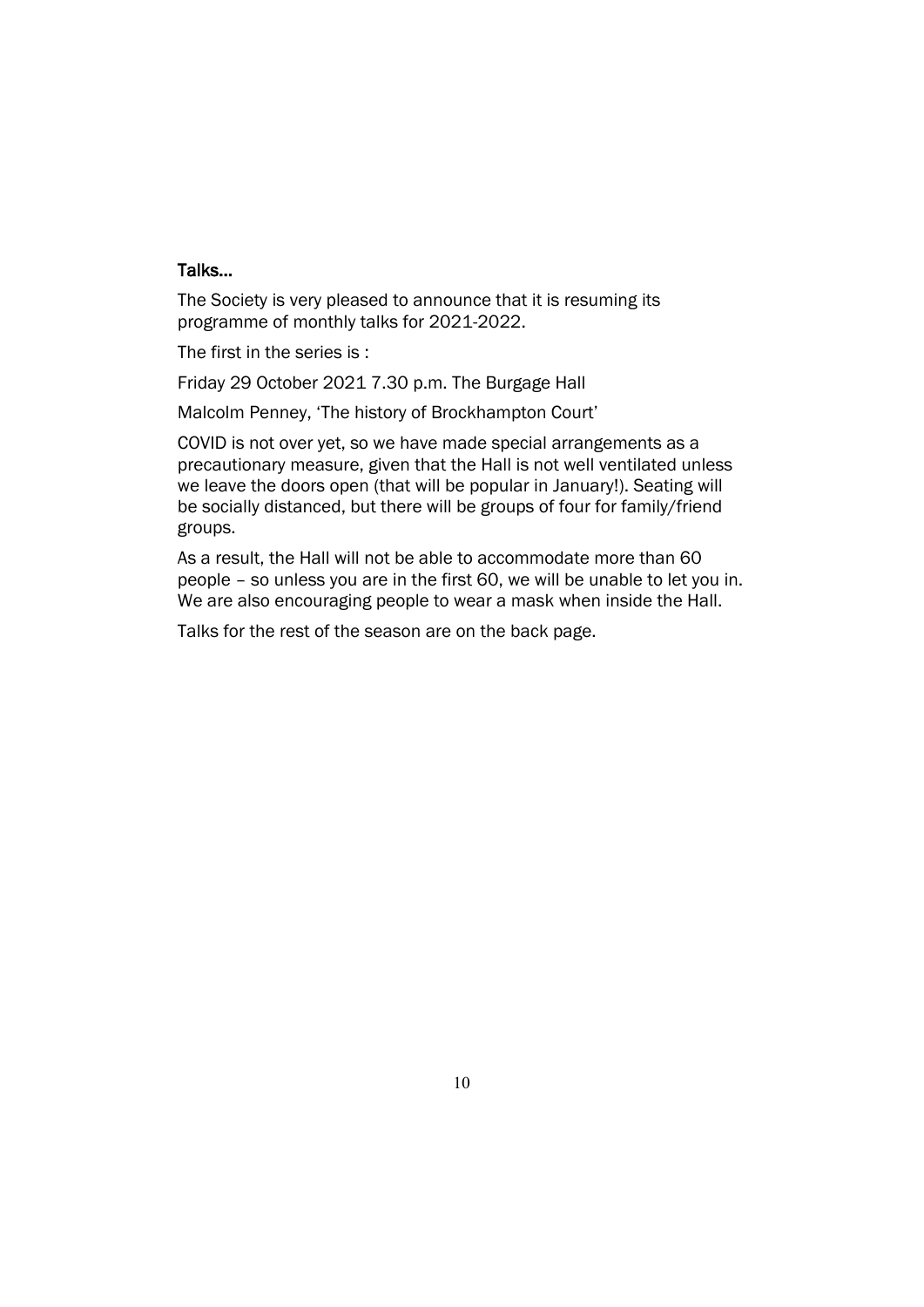### Talks…

The Society is very pleased to announce that it is resuming its programme of monthly talks for 2021-2022.

The first in the series is :

Friday 29 October 2021 7.30 p.m. The Burgage Hall

Malcolm Penney, 'The history of Brockhampton Court'

COVID is not over yet, so we have made special arrangements as a precautionary measure, given that the Hall is not well ventilated unless we leave the doors open (that will be popular in January!). Seating will be socially distanced, but there will be groups of four for family/friend groups.

As a result, the Hall will not be able to accommodate more than 60 people – so unless you are in the first 60, we will be unable to let you in. We are also encouraging people to wear a mask when inside the Hall.

Talks for the rest of the season are on the back page.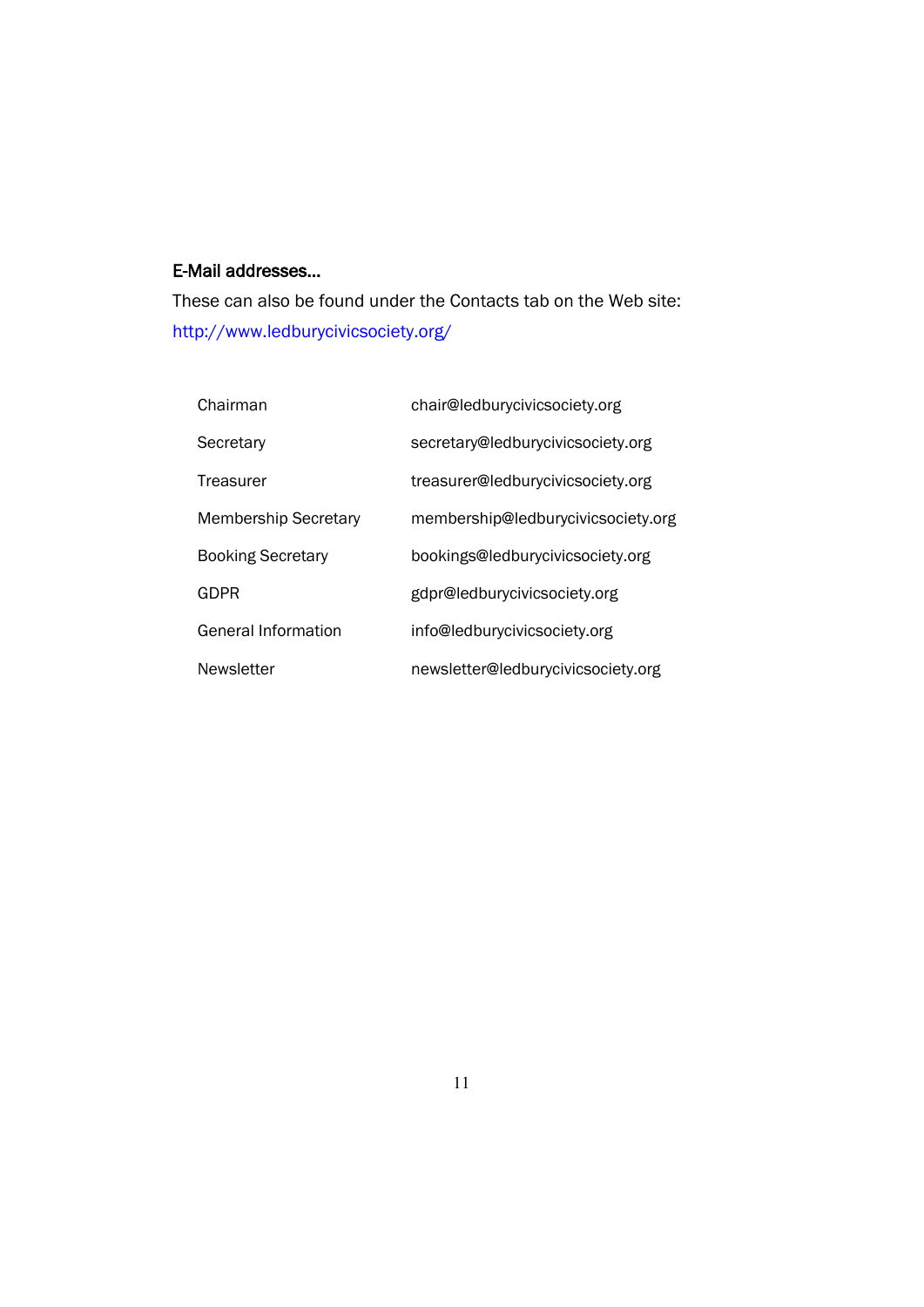### E-Mail addresses…

These can also be found under the Contacts tab on the Web site: http://www.ledburycivicsociety.org/

| Chairman                    | chair@ledburycivicsociety.org      |
|-----------------------------|------------------------------------|
| Secretary                   | secretary@ledburycivicsociety.org  |
| Treasurer                   | treasurer@ledburycivicsociety.org  |
| <b>Membership Secretary</b> | membership@ledburycivicsociety.org |
| <b>Booking Secretary</b>    | bookings@ledburycivicsociety.org   |
| <b>GDPR</b>                 | gdpr@ledburycivicsociety.org       |
| <b>General Information</b>  | info@ledburycivicsociety.org       |
| <b>Newsletter</b>           | newsletter@ledburycivicsociety.org |